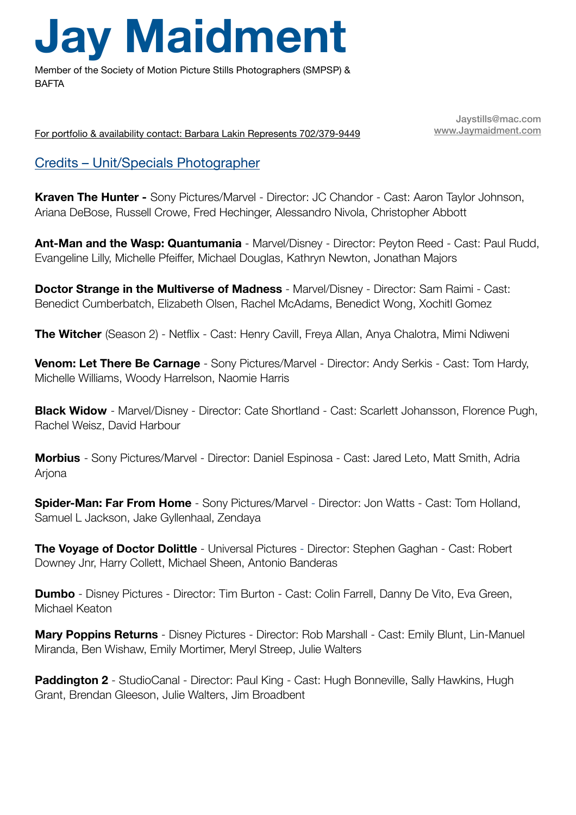## **Jay Maidment**

Member of the Society of Motion Picture Stills Photographers (SMPSP) & **BAFTA** 

For portfolio & availability contact: Barbara Lakin Represents 702/379-9449

Jaystills@mac.com [www.Jaymaidment.com](http://www.Jaymaidment.com)

## Credits – Unit/Specials Photographer

**Kraven The Hunter -** Sony Pictures/Marvel - Director: JC Chandor - Cast: Aaron Taylor Johnson, Ariana DeBose, Russell Crowe, Fred Hechinger, Alessandro Nivola, Christopher Abbott

**Ant-Man and the Wasp: Quantumania** - Marvel/Disney - Director: Peyton Reed - Cast: Paul Rudd, Evangeline Lilly, Michelle Pfeiffer, Michael Douglas, Kathryn Newton, Jonathan Majors

**Doctor Strange in the Multiverse of Madness** - Marvel/Disney - Director: Sam Raimi - Cast: Benedict Cumberbatch, Elizabeth Olsen, Rachel McAdams, Benedict Wong, Xochitl Gomez

**The Witcher** (Season 2) - Netflix - Cast: Henry Cavill, Freya Allan, Anya Chalotra, Mimi Ndiweni

**Venom: Let There Be Carnage** - Sony Pictures/Marvel - Director: Andy Serkis - Cast: Tom Hardy, Michelle Williams, Woody Harrelson, Naomie Harris

**Black Widow** - Marvel/Disney - Director: Cate Shortland - Cast: Scarlett Johansson, Florence Pugh, Rachel Weisz, David Harbour

**Morbius** - Sony Pictures/Marvel - Director: Daniel Espinosa - Cast: Jared Leto, Matt Smith, Adria **Ariona** 

**Spider-Man: Far From Home** - Sony Pictures/Marvel - Director: Jon Watts - Cast: Tom Holland, Samuel L Jackson, Jake Gyllenhaal, Zendaya

**The Voyage of Doctor Dolittle** - Universal Pictures - Director: Stephen Gaghan - Cast: Robert Downey Jnr, Harry Collett, Michael Sheen, Antonio Banderas

**Dumbo** - Disney Pictures - Director: Tim Burton - Cast: Colin Farrell, Danny De Vito, Eva Green, Michael Keaton

**Mary Poppins Returns** - Disney Pictures - Director: Rob Marshall - Cast: Emily Blunt, Lin-Manuel Miranda, Ben Wishaw, Emily Mortimer, Meryl Streep, Julie Walters

**Paddington 2** - StudioCanal - Director: Paul King - Cast: Hugh Bonneville, Sally Hawkins, Hugh Grant, Brendan Gleeson, Julie Walters, Jim Broadbent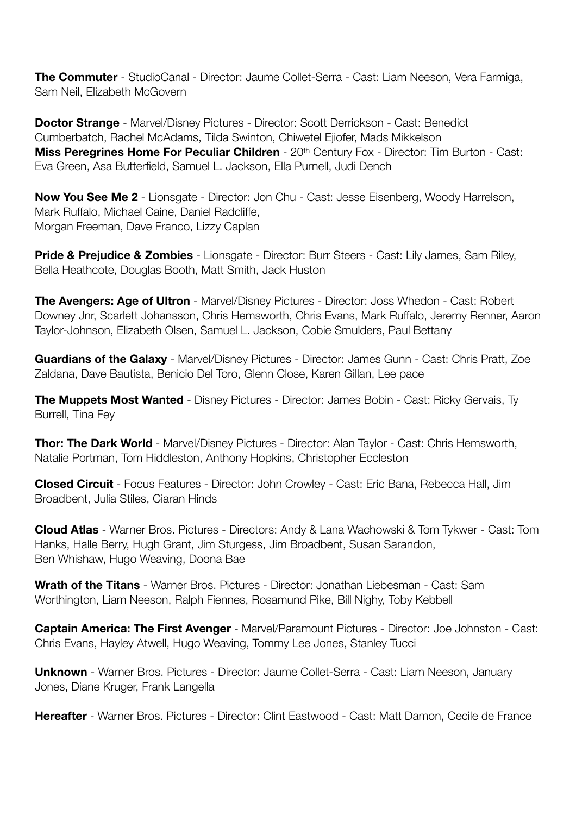**The Commuter** - StudioCanal - Director: Jaume Collet-Serra - Cast: Liam Neeson, Vera Farmiga, Sam Neil, Elizabeth McGovern

**Doctor Strange** - Marvel/Disney Pictures - Director: Scott Derrickson - Cast: Benedict Cumberbatch, Rachel McAdams, Tilda Swinton, Chiwetel Ejiofer, Mads Mikkelson **Miss Peregrines Home For Peculiar Children** - 20th Century Fox - Director: Tim Burton - Cast: Eva Green, Asa Butterfield, Samuel L. Jackson, Ella Purnell, Judi Dench

**Now You See Me 2** - Lionsgate - Director: Jon Chu - Cast: Jesse Eisenberg, Woody Harrelson, Mark Ruffalo, Michael Caine, Daniel Radcliffe, Morgan Freeman, Dave Franco, Lizzy Caplan

**Pride & Prejudice & Zombies** - Lionsgate - Director: Burr Steers - Cast: Lily James, Sam Riley, Bella Heathcote, Douglas Booth, Matt Smith, Jack Huston

**The Avengers: Age of Ultron** - Marvel/Disney Pictures - Director: Joss Whedon - Cast: Robert Downey Jnr, Scarlett Johansson, Chris Hemsworth, Chris Evans, Mark Ruffalo, Jeremy Renner, Aaron Taylor-Johnson, Elizabeth Olsen, Samuel L. Jackson, Cobie Smulders, Paul Bettany

**Guardians of the Galaxy** - Marvel/Disney Pictures - Director: James Gunn - Cast: Chris Pratt, Zoe Zaldana, Dave Bautista, Benicio Del Toro, Glenn Close, Karen Gillan, Lee pace

**The Muppets Most Wanted** - Disney Pictures - Director: James Bobin - Cast: Ricky Gervais, Ty Burrell, Tina Fey

**Thor: The Dark World** - Marvel/Disney Pictures - Director: Alan Taylor - Cast: Chris Hemsworth, Natalie Portman, Tom Hiddleston, Anthony Hopkins, Christopher Eccleston

**Closed Circuit** - Focus Features - Director: John Crowley - Cast: Eric Bana, Rebecca Hall, Jim Broadbent, Julia Stiles, Ciaran Hinds

**Cloud Atlas** - Warner Bros. Pictures - Directors: Andy & Lana Wachowski & Tom Tykwer - Cast: Tom Hanks, Halle Berry, Hugh Grant, Jim Sturgess, Jim Broadbent, Susan Sarandon, Ben Whishaw, Hugo Weaving, Doona Bae

**Wrath of the Titans** - Warner Bros. Pictures - Director: Jonathan Liebesman - Cast: Sam Worthington, Liam Neeson, Ralph Fiennes, Rosamund Pike, Bill Nighy, Toby Kebbell

**Captain America: The First Avenger** - Marvel/Paramount Pictures - Director: Joe Johnston - Cast: Chris Evans, Hayley Atwell, Hugo Weaving, Tommy Lee Jones, Stanley Tucci

**Unknown** - Warner Bros. Pictures - Director: Jaume Collet-Serra - Cast: Liam Neeson, January Jones, Diane Kruger, Frank Langella

**Hereafter** - Warner Bros. Pictures - Director: Clint Eastwood - Cast: Matt Damon, Cecile de France